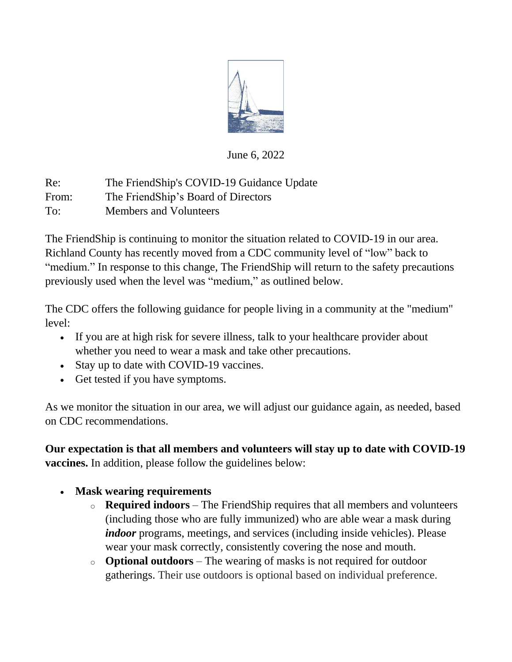

June 6, 2022

Re: The FriendShip's COVID-19 Guidance Update From: The FriendShip's Board of Directors To: Members and Volunteers

The FriendShip is continuing to monitor the situation related to COVID-19 in our area. Richland County has recently moved from a CDC community level of "low" back to "medium." In response to this change, The FriendShip will return to the safety precautions previously used when the level was "medium," as outlined below.

The CDC offers the following guidance for people living in a community at the "medium" level:

- If you are at high risk for severe illness, talk to your healthcare provider about whether you need to wear a mask and take other precautions.
- Stay up to date with COVID-19 vaccines.
- Get tested if you have symptoms.

As we monitor the situation in our area, we will adjust our guidance again, as needed, based on CDC recommendations.

**Our expectation is that all members and volunteers will stay up to date with COVID-19 vaccines.** In addition, please follow the guidelines below:

- **Mask wearing requirements**
	- o **Required indoors** The FriendShip requires that all members and volunteers (including those who are fully immunized) who are able wear a mask during *indoor* programs, meetings, and services (including inside vehicles). Please wear your mask correctly, consistently covering the nose and mouth.
	- o **Optional outdoors** The wearing of masks is not required for outdoor gatherings. Their use outdoors is optional based on individual preference.